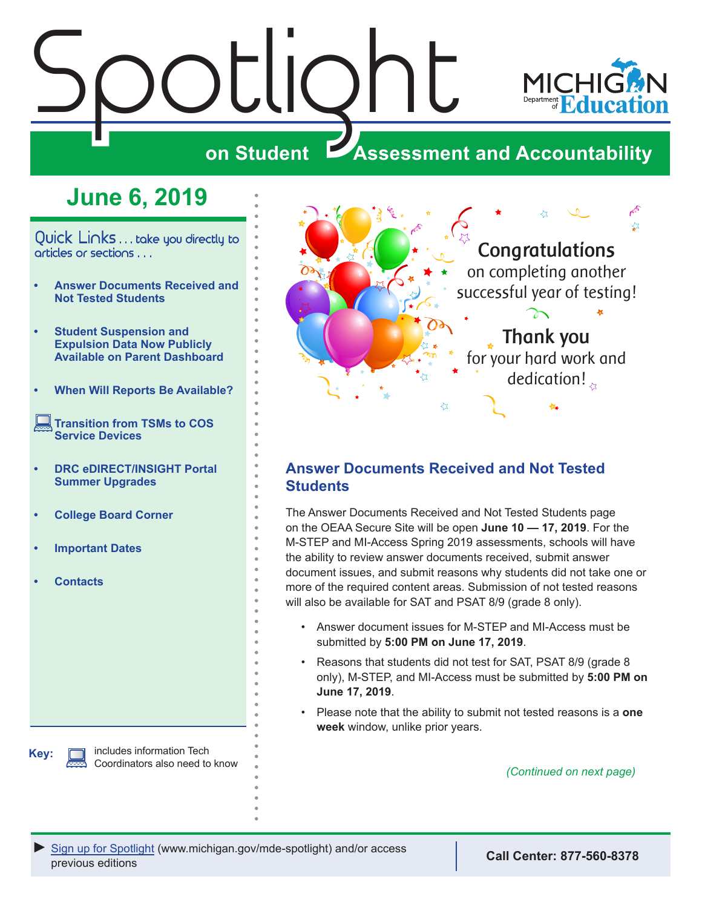# <span id="page-0-0"></span> $\frac{\sum_{\mathbf{S}}\left|\bigcup_{\mathbf{S}}\right|}{\sum_{\mathbf{S}}\left|\bigcup_{\mathbf{S}}\right|}$



# **Assessment and Accountability**

# **June 6, 2019**

Quick Links . . . take you directly to articles or sections . . .

- **• Answer Documents Received and Not Tested Students**
- **• [Student Suspension and](#page-2-0)  [Expulsion Data Now Publicly](#page-2-0)  [Available on Parent Dashboard](#page-2-0)**
- **• [When Will Reports Be Available?](#page-3-0)**
- **[Transition from TSMs to COS](#page-4-0)  [Service Devices](#page-4-0)**
- **• [DRC eDIRECT/INSIGHT Portal](#page-4-0)  [Summer Upgrades](#page-4-0)**
- **• [College Board Corner](#page-5-0)**
- **• [Important Dates](#page-6-0)**
- **• [Contacts](#page-7-0)**

**Key:**

includes information Tech Coordinators also need to know



# **Answer Documents Received and Not Tested Students**

The Answer Documents Received and Not Tested Students page on the OEAA Secure Site will be open **June 10 — 17, 2019**. For the M-STEP and MI-Access Spring 2019 assessments, schools will have the ability to review answer documents received, submit answer document issues, and submit reasons why students did not take one or more of the required content areas. Submission of not tested reasons will also be available for SAT and PSAT 8/9 (grade 8 only).

- Answer document issues for M-STEP and MI-Access must be submitted by **5:00 PM on June 17, 2019**.
- Reasons that students did not test for SAT, PSAT 8/9 (grade 8 only), M-STEP, and MI-Access must be submitted by **5:00 PM on June 17, 2019**.
- Please note that the ability to submit not tested reasons is a **one week** window, unlike prior years.

*(Continued on next page)*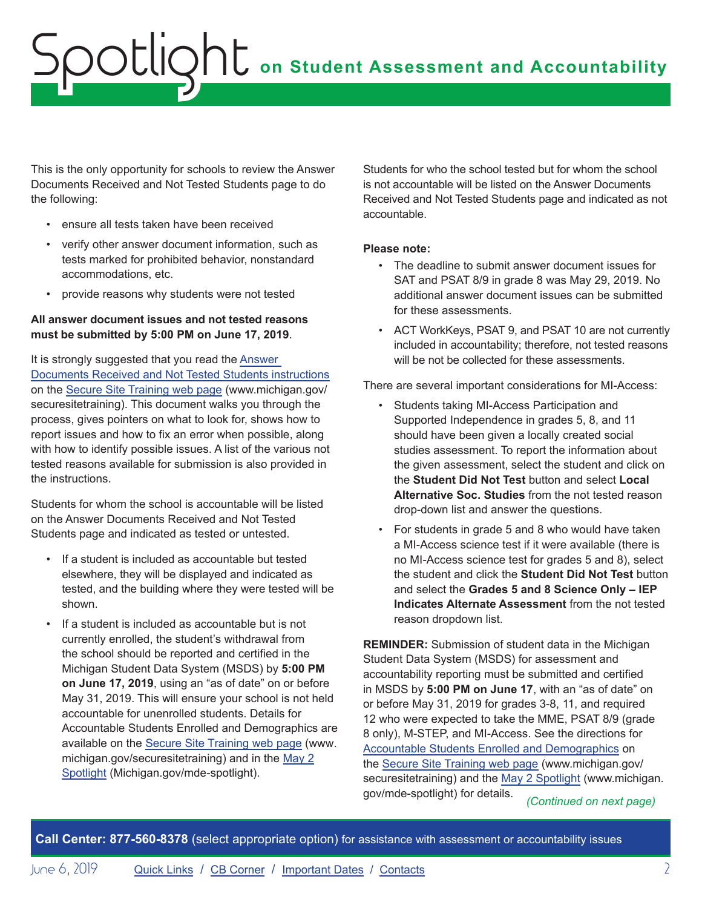This is the only opportunity for schools to review the Answer Documents Received and Not Tested Students page to do the following:

- ensure all tests taken have been received
- verify other answer document information, such as tests marked for prohibited behavior, nonstandard accommodations, etc.
- provide reasons why students were not tested

#### **All answer document issues and not tested reasons must be submitted by 5:00 PM on June 17, 2019**.

It is strongly suggested that you read the [Answer](https://www.michigan.gov/documents/mde/Answer_Documents_Received_and_Not_Tested_Students_instructions_623116_7.pdf)  [Documents Received and Not Tested Students instructions](https://www.michigan.gov/documents/mde/Answer_Documents_Received_and_Not_Tested_Students_instructions_623116_7.pdf) on the [Secure Site Training web page](http://www.michigan.gov/securesitetraining) (www.michigan.gov/ securesitetraining). This document walks you through the process, gives pointers on what to look for, shows how to report issues and how to fix an error when possible, along with how to identify possible issues. A list of the various not tested reasons available for submission is also provided in the instructions.

Students for whom the school is accountable will be listed on the Answer Documents Received and Not Tested Students page and indicated as tested or untested.

- If a student is included as accountable but tested elsewhere, they will be displayed and indicated as tested, and the building where they were tested will be shown.
- If a student is included as accountable but is not currently enrolled, the student's withdrawal from the school should be reported and certified in the Michigan Student Data System (MSDS) by **5:00 PM on June 17, 2019**, using an "as of date" on or before May 31, 2019. This will ensure your school is not held accountable for unenrolled students. Details for Accountable Students Enrolled and Demographics are available on the [Secure Site Training web page](http://www.michigan.gov/securesitetraining) (www. michigan.gov/securesitetraining) and in the [May 2](https://www.michigan.gov/documents/mde/Spotlight_5-2-19_654086_7.pdf) [Spotlight](https://www.michigan.gov/documents/mde/Spotlight_5-2-19_654086_7.pdf) (Michigan.gov/mde-spotlight).

Students for who the school tested but for whom the school is not accountable will be listed on the Answer Documents Received and Not Tested Students page and indicated as not accountable.

#### **Please note:**

- The deadline to submit answer document issues for SAT and PSAT 8/9 in grade 8 was May 29, 2019. No additional answer document issues can be submitted for these assessments.
- ACT WorkKeys, PSAT 9, and PSAT 10 are not currently included in accountability; therefore, not tested reasons will be not be collected for these assessments.

There are several important considerations for MI-Access:

- Students taking MI-Access Participation and Supported Independence in grades 5, 8, and 11 should have been given a locally created social studies assessment. To report the information about the given assessment, select the student and click on the **Student Did Not Test** button and select **Local Alternative Soc. Studies** from the not tested reason drop-down list and answer the questions.
- For students in grade 5 and 8 who would have taken a MI-Access science test if it were available (there is no MI-Access science test for grades 5 and 8), select the student and click the **Student Did Not Test** button and select the **Grades 5 and 8 Science Only – IEP Indicates Alternate Assessment** from the not tested reason dropdown list.

**REMINDER:** Submission of student data in the Michigan Student Data System (MSDS) for assessment and accountability reporting must be submitted and certified in MSDS by **5:00 PM on June 17**, with an "as of date" on or before May 31, 2019 for grades 3-8, 11, and required 12 who were expected to take the MME, PSAT 8/9 (grade 8 only), M-STEP, and MI-Access. See the directions for [Accountable Students Enrolled and Demographics](https://www.michigan.gov/documents/mde/Accountable_Students_Enrolled_and_Demographics_621314_7.pdf) on the [Secure Site Training web page](http://www.michigan.gov/securesitetraining) (www.michigan.gov/ securesitetraining) and the [May 2 Spotlight](https://www.michigan.gov/documents/mde/Spotlight_5-2-19_654086_7.pdf) (www.michigan. gov/mde-spotlight) for details. *(Continued on next page)*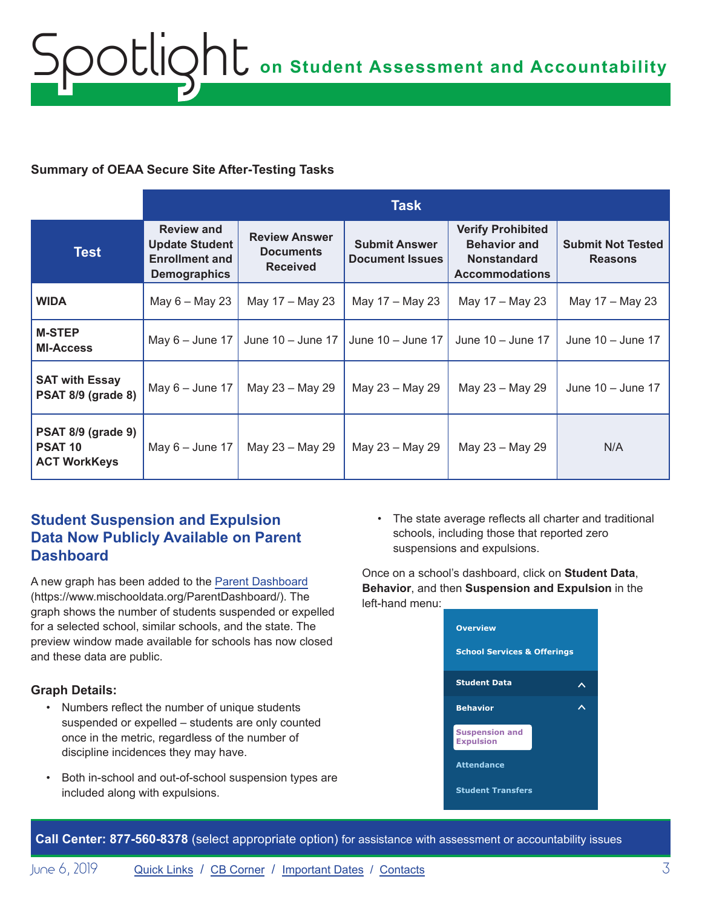### <span id="page-2-0"></span>**Summary of OEAA Secure Site After-Testing Tasks**

|                                                                    | <b>Task</b>                                                                                |                                                             |                                                |                                                                                                |                                            |
|--------------------------------------------------------------------|--------------------------------------------------------------------------------------------|-------------------------------------------------------------|------------------------------------------------|------------------------------------------------------------------------------------------------|--------------------------------------------|
| <b>Test</b>                                                        | <b>Review and</b><br><b>Update Student</b><br><b>Enrollment and</b><br><b>Demographics</b> | <b>Review Answer</b><br><b>Documents</b><br><b>Received</b> | <b>Submit Answer</b><br><b>Document Issues</b> | <b>Verify Prohibited</b><br><b>Behavior and</b><br><b>Nonstandard</b><br><b>Accommodations</b> | <b>Submit Not Tested</b><br><b>Reasons</b> |
| <b>WIDA</b>                                                        | May $6 -$ May 23                                                                           | May 17 - May 23                                             | May 17 - May 23                                | May 17 – May 23                                                                                | May 17 - May 23                            |
| <b>M-STEP</b><br><b>MI-Access</b>                                  | May $6 -$ June 17                                                                          | June $10 -$ June 17                                         | June 10 - June 17                              | June $10 -$ June 17                                                                            | June 10 - June 17                          |
| <b>SAT with Essay</b><br><b>PSAT 8/9 (grade 8)</b>                 | May $6 -$ June 17                                                                          | May 23 - May 29                                             | May 23 - May 29                                | May 23 - May 29                                                                                | June $10 -$ June 17                        |
| <b>PSAT 8/9 (grade 9)</b><br><b>PSAT 10</b><br><b>ACT WorkKeys</b> | May $6 -$ June 17                                                                          | May 23 - May 29                                             | May 23 - May 29                                | May 23 - May 29                                                                                | N/A                                        |

# **Student Suspension and Expulsion Data Now Publicly Available on Parent Dashboard**

A new graph has been added to the [Parent Dashboard](https://www.mischooldata.org/ParentDashboard/) (https://www.mischooldata.org/ParentDashboard/). The graph shows the number of students suspended or expelled for a selected school, similar schools, and the state. The preview window made available for schools has now closed and these data are public.

## **Graph Details:**

- Numbers reflect the number of unique students suspended or expelled – students are only counted once in the metric, regardless of the number of discipline incidences they may have.
- Both in-school and out-of-school suspension types are included along with expulsions.

• The state average reflects all charter and traditional schools, including those that reported zero suspensions and expulsions.

Once on a school's dashboard, click on **Student Data**, **Behavior**, and then **Suspension and Expulsion** in the left-hand menu:

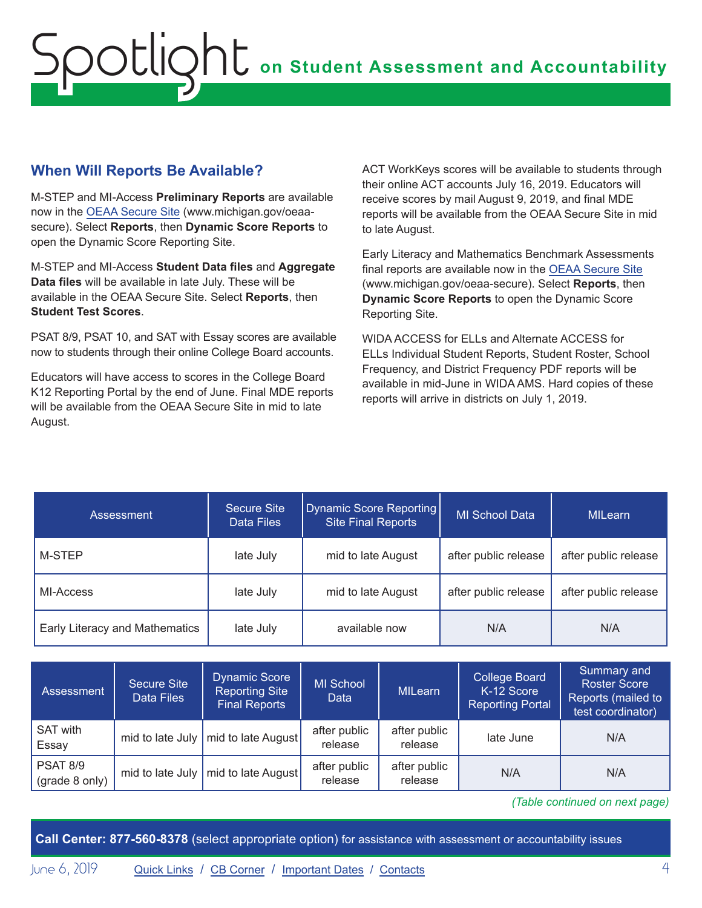# <span id="page-3-0"></span>**on Student Assessment and Accountability** Spotlight

# **When Will Reports Be Available?**

M-STEP and MI-Access **Preliminary Reports** are available now in the [OEAA Secure Site](http://www.michigan.gov/oeaa-secure) (www.michigan.gov/oeaasecure). Select **Reports**, then **Dynamic Score Reports** to open the Dynamic Score Reporting Site.

M-STEP and MI-Access **Student Data files** and **Aggregate Data files** will be available in late July. These will be available in the OEAA Secure Site. Select **Reports**, then **Student Test Scores**.

PSAT 8/9, PSAT 10, and SAT with Essay scores are available now to students through their online College Board accounts.

Educators will have access to scores in the College Board K12 Reporting Portal by the end of June. Final MDE reports will be available from the OEAA Secure Site in mid to late August.

ACT WorkKeys scores will be available to students through their online ACT accounts July 16, 2019. Educators will receive scores by mail August 9, 2019, and final MDE reports will be available from the OEAA Secure Site in mid to late August.

Early Literacy and Mathematics Benchmark Assessments final reports are available now in the [OEAA Secure Site](http://www.michigan.gov/oeaa-secure) (www.michigan.gov/oeaa-secure). Select **Reports**, then **Dynamic Score Reports** to open the Dynamic Score Reporting Site.

WIDA ACCESS for ELLs and Alternate ACCESS for ELLs Individual Student Reports, Student Roster, School Frequency, and District Frequency PDF reports will be available in mid-June in WIDA AMS. Hard copies of these reports will arrive in districts on July 1, 2019.

| Assessment                     | Secure Site<br>Data Files | Dynamic Score Reporting<br><b>Site Final Reports</b> | MI School Data       | <b>MILearn</b>       |
|--------------------------------|---------------------------|------------------------------------------------------|----------------------|----------------------|
| M-STEP                         | late July                 | mid to late August                                   | after public release | after public release |
| MI-Access                      | late July                 | mid to late August                                   | after public release | after public release |
| Early Literacy and Mathematics | late July                 | available now                                        | N/A                  | N/A                  |

| Assessment                        | <b>Secure Site</b><br>Data Files | <b>Dynamic Score</b><br><b>Reporting Site</b><br><b>Final Reports</b> | <b>MI School</b><br>Data | <b>MILearn</b>          | <b>College Board</b><br>K-12 Score<br><b>Reporting Portal</b> | Summary and<br><b>Roster Score</b><br>Reports (mailed to<br>test coordinator) |
|-----------------------------------|----------------------------------|-----------------------------------------------------------------------|--------------------------|-------------------------|---------------------------------------------------------------|-------------------------------------------------------------------------------|
| <b>SAT with</b><br>Essay          |                                  | mid to late July   mid to late August                                 | after public<br>release  | after public<br>release | late June                                                     | N/A                                                                           |
| <b>PSAT 8/9</b><br>(grade 8 only) | mid to late July $\vert$         | mid to late August                                                    | after public<br>release  | after public<br>release | N/A                                                           | N/A                                                                           |

*(Table continued on next page)*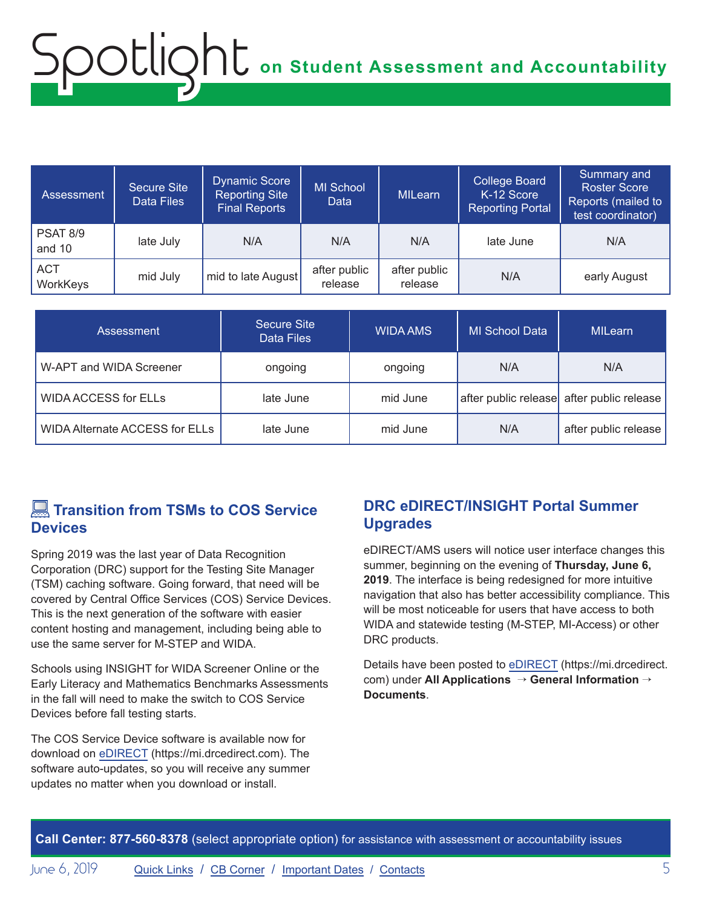# <span id="page-4-0"></span>**on Student Assessment and Accountability** Spotlight

| Assessment '              | <b>Secure Site</b><br>Data Files | <b>Dynamic Score</b><br><b>Reporting Site</b><br><b>Final Reports</b> | <b>MI School</b><br><b>Data</b> | <b>MILearn</b>          | <b>College Board</b><br>K-12 Score<br><b>Reporting Portal</b> | Summary and<br><b>Roster Score</b><br>Reports (mailed to<br>test coordinator) |
|---------------------------|----------------------------------|-----------------------------------------------------------------------|---------------------------------|-------------------------|---------------------------------------------------------------|-------------------------------------------------------------------------------|
| <b>PSAT 8/9</b><br>and 10 | late July                        | N/A                                                                   | N/A                             | N/A                     | late June                                                     | N/A                                                                           |
| <b>ACT</b><br>WorkKeys    | mid July                         | mid to late August                                                    | after public<br>release         | after public<br>release | N/A                                                           | early August                                                                  |

| Assessment                     | Secure Site<br>Data Files | <b>WIDA AMS</b> | <b>MI School Data</b> | MILearn                                   |
|--------------------------------|---------------------------|-----------------|-----------------------|-------------------------------------------|
| W-APT and WIDA Screener        | ongoing                   | ongoing         | N/A                   | N/A                                       |
| <b>WIDA ACCESS for ELLs</b>    | late June                 | mid June        |                       | after public release after public release |
| WIDA Alternate ACCESS for ELLs | late June                 | mid June        | N/A                   | after public release                      |

# **Example 3 Transition from TSMs to COS Service Devices**

Spring 2019 was the last year of Data Recognition Corporation (DRC) support for the Testing Site Manager (TSM) caching software. Going forward, that need will be covered by Central Office Services (COS) Service Devices. This is the next generation of the software with easier content hosting and management, including being able to use the same server for M-STEP and WIDA.

Schools using INSIGHT for WIDA Screener Online or the Early Literacy and Mathematics Benchmarks Assessments in the fall will need to make the switch to COS Service Devices before fall testing starts.

The COS Service Device software is available now for download on [eDIRECT](https://mi.drcedirect.com) (https://mi.drcedirect.com). The software auto-updates, so you will receive any summer updates no matter when you download or install.

# **DRC eDIRECT/INSIGHT Portal Summer Upgrades**

eDIRECT/AMS users will notice user interface changes this summer, beginning on the evening of **Thursday, June 6, 2019**. The interface is being redesigned for more intuitive navigation that also has better accessibility compliance. This will be most noticeable for users that have access to both WIDA and statewide testing (M-STEP, MI-Access) or other DRC products.

Details have been posted to [eDIRECT](https://mi.drcedirect.com) (https://mi.drcedirect. com) under **All Applications** → **General Information** → **Documents**.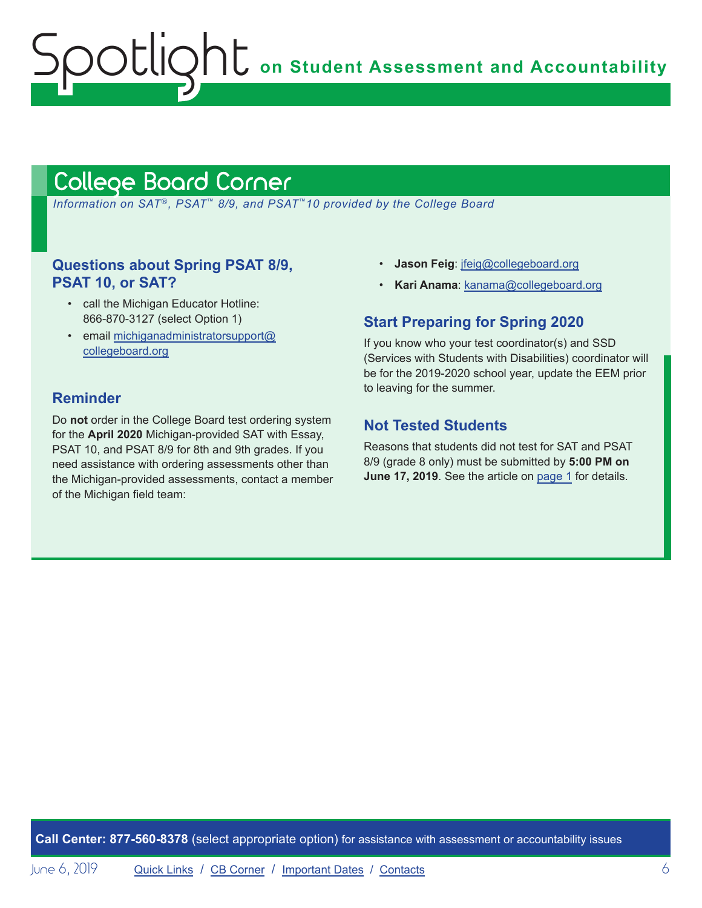**OC** on Student Assessment and Accountability

# <span id="page-5-1"></span>College Board Corner

<span id="page-5-0"></span>ootlic

 *Information on SAT*®*, PSAT*™ *8/9, and PSAT*™*10 provided by the College Board*

## **Questions about Spring PSAT 8/9, PSAT 10, or SAT?**

- call the Michigan Educator Hotline: 866-870-3127 (select Option 1)
- email [michiganadministratorsupport@](mailto:michiganadministratorsupport%40collegeboard.org?subject=) [collegeboard.org](mailto:michiganadministratorsupport%40collegeboard.org?subject=)

## **Reminder**

Do **not** order in the College Board test ordering system for the **April 2020** Michigan-provided SAT with Essay, PSAT 10, and PSAT 8/9 for 8th and 9th grades. If you need assistance with ordering assessments other than the Michigan-provided assessments, contact a member of the Michigan field team:

- **Jason Feig**: [jfeig@collegeboard.org](mailto:jfeig%40collegeboard.org?subject=)
- **Kari Anama**: [kanama@collegeboard.org](mailto:kanama%40collegeboard.org?subject=)

## **Start Preparing for Spring 2020**

If you know who your test coordinator(s) and SSD (Services with Students with Disabilities) coordinator will be for the 2019-2020 school year, update the EEM prior to leaving for the summer.

## **Not Tested Students**

Reasons that students did not test for SAT and PSAT 8/9 (grade 8 only) must be submitted by **5:00 PM on June 17, 2019**. See the article on [page 1](#page-0-0) for details.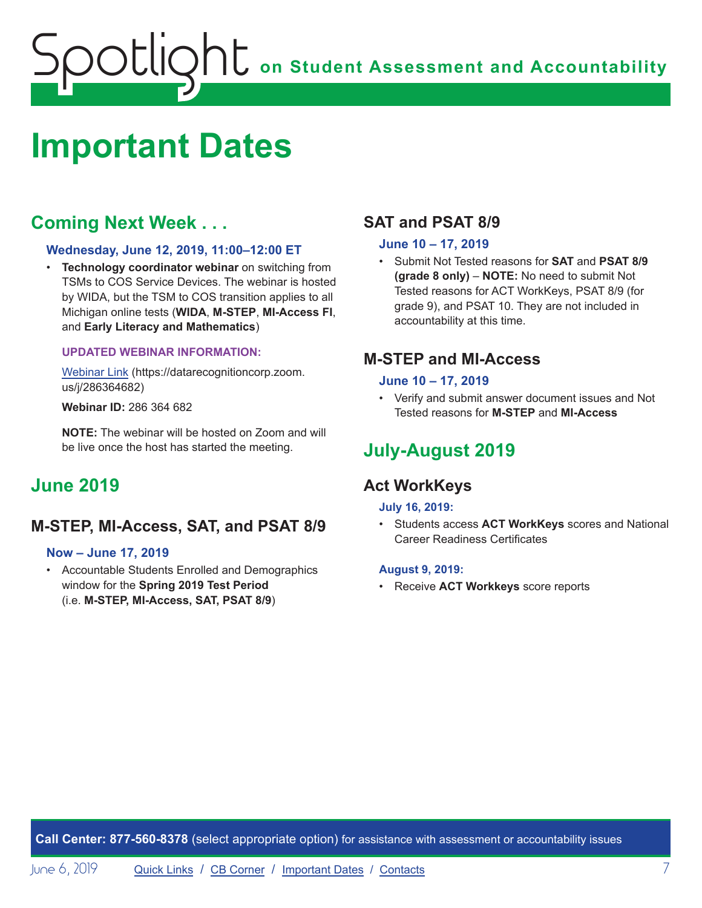# <span id="page-6-0"></span>**on Student Assessment and Accountability** potlic

# <span id="page-6-1"></span>**Important Dates**

# **Coming Next Week . . .**

#### **Wednesday, June 12, 2019, 11:00–12:00 ET**

• **Technology coordinator webinar** on switching from TSMs to COS Service Devices. The webinar is hosted by WIDA, but the TSM to COS transition applies to all Michigan online tests (**WIDA**, **M-STEP**, **MI-Access FI**, and **Early Literacy and Mathematics**)

#### **UPDATED WEBINAR INFORMATION:**

[Webinar Link](https://datarecognitioncorp.zoom.us/j/286364682) (https://datarecognitioncorp.zoom. us/j/286364682)

**Webinar ID:** 286 364 682

**NOTE:** The webinar will be hosted on Zoom and will be live once the host has started the meeting.

# **June 2019**

# **M-STEP, MI-Access, SAT, and PSAT 8/9**

#### **Now – June 17, 2019**

• Accountable Students Enrolled and Demographics window for the **Spring 2019 Test Period** (i.e. **M-STEP, MI-Access, SAT, PSAT 8/9**)

# **SAT and PSAT 8/9**

#### **June 10 – 17, 2019**

• Submit Not Tested reasons for **SAT** and **PSAT 8/9 (grade 8 only)** – **NOTE:** No need to submit Not Tested reasons for ACT WorkKeys, PSAT 8/9 (for grade 9), and PSAT 10. They are not included in accountability at this time.

# **M-STEP and MI-Access**

#### **June 10 – 17, 2019**

• Verify and submit answer document issues and Not Tested reasons for **M-STEP** and **MI-Access** 

# **July-August 2019**

# **Act WorkKeys**

#### **July 16, 2019:**

• Students access **ACT WorkKeys** scores and National Career Readiness Certificates

#### **August 9, 2019:**

• Receive **ACT Workkeys** score reports